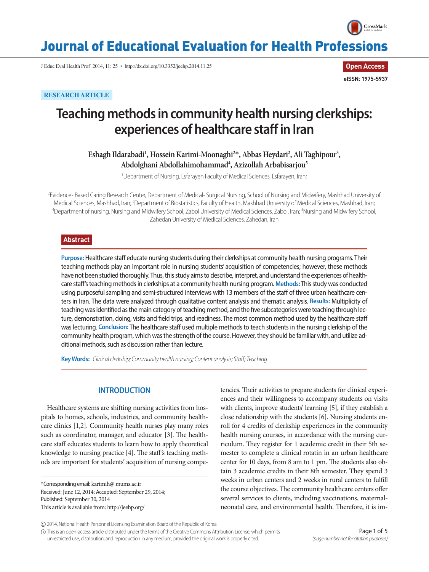

# Journal of Educational Evaluation for Health Professions

J Educ Eval Health Prof 2014, 11: 25 • http://dx.doi.org/10.3352/jeehp.2014.11.25

**Open Access eISSN: 1975-5937**

# **RESEARCH ARTICLE**

# **Teaching methods in community health nursing clerkships: experiences of healthcare staff in Iran**

Eshagh Ildarabadi<sup>1</sup>, Hossein Karimi-Moonaghi<sup>2\*</sup>, Abbas Heydari<sup>2</sup>, Ali Taghipour<sup>3</sup>, Abdolghani Abdollahimohammad<sup>4</sup>, Azizollah Arbabisarjou<sup>5</sup>

1 Department of Nursing, Esfarayen Faculty of Medical Sciences, Esfarayen, Iran;

<sup>2</sup>Evidence- Based Caring Research Center, Department of Medical- Surgical Nursing, School of Nursing and Midwifery, Mashhad University of Medical Sciences, Mashhad, Iran; <sup>3</sup>Department of Biostatistics, Faculty of Health, Mashhad University of Medical Sciences, Mashhad, Iran;<br><sup>4</sup>Department of pursing Nursing and Midwifery School, Zabol University of Medical Department of nursing, Nursing and Midwifery School, Zabol University of Medical Sciences, Zabol, Iran; 5 Nursing and Midwifery School, Zahedan University of Medical Sciences, Zahedan, Iran

## **Abstract**

**Purpose:** Healthcare staff educate nursing students during their clerkships at community health nursing programs. Their teaching methods play an important role in nursing students' acquisition of competencies; however, these methods have not been studied thoroughly. Thus, this study aims to describe, interpret, and understand the experiences of healthcare staff's teaching methods in clerkships at a community health nursing program. **Methods:** This study was conducted using purposeful sampling and semi-structured interviews with 13 members of the staff of three urban healthcare centers in Iran. The data were analyzed through qualitative content analysis and thematic analysis. **Results:** Multiplicity of teaching was identified as the main category of teaching method, and the five subcategories were teaching through lecture, demonstration, doing, visits and field trips, and readiness. The most common method used by the healthcare staff was lecturing. **Conclusion:** The healthcare staff used multiple methods to teach students in the nursing clerkship of the community health program, which was the strength of the course. However, they should be familiar with, and utilize additional methods, such as discussion rather than lecture.

**Key Words:** *Clinical clerkship; Community health nursing; Content analysis; Staff; Teaching*

# **INTRODUCTION**

Healthcare systems are shifting nursing activities from hospitals to homes, schools, industries, and community healthcare clinics [1,2]. Community health nurses play many roles such as coordinator, manager, and educator [3]. The healthcare staff educates students to learn how to apply theoretical knowledge to nursing practice [4]. The staff's teaching methods are important for students' acquisition of nursing compe-

\*Corresponding email: karimih@ mums.ac.ir Received: June 12, 2014; Accepted: September 29, 2014; Published: September 30, 2014 This article is available from: http://jeehp.org/

tencies. Their activities to prepare students for clinical experiences and their willingness to accompany students on visits with clients, improve students' learning [5], if they establish a close relationship with the students [6]. Nursing students enroll for 4 credits of clerkship experiences in the community health nursing courses, in accordance with the nursing curriculum. They register for 1 academic credit in their 5th semester to complete a clinical rotatin in an urban healthcare center for 10 days, from 8 am to 1 pm. The students also obtain 3 academic credits in their 8th semester. They spend 3 weeks in urban centers and 2 weeks in rural centers to fulfill the course objectives. The community healthcare centers offer several services to clients, including vaccinations, maternalneonatal care, and environmental health. Therefore, it is im-

This is an open-access article distributed under the terms of the Creative Commons Attribution License, which permits unrestricted use, distribution, and reproduction in any medium, provided the original work is properly cited.

<sup>2014,</sup> National Health Personnel Licensing Examination Board of the Republic of Korea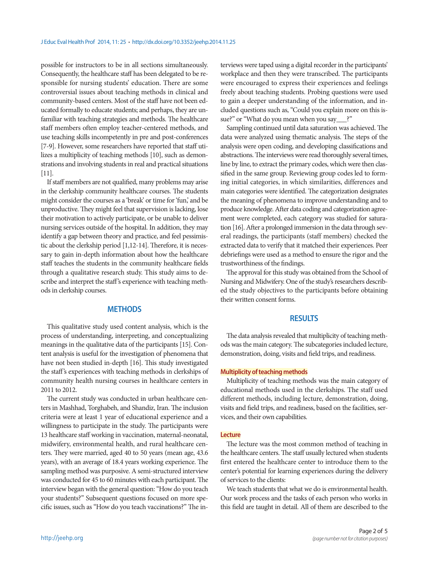possible for instructors to be in all sections simultaneously. Consequently, the healthcare staff has been delegated to be responsible for nursing students' education. There are some controversial issues about teaching methods in clinical and community-based centers. Most of the staff have not been educated formally to educate students; and perhaps, they are unfamiliar with teaching strategies and methods. The healthcare staff members often employ teacher-centered methods, and use teaching skills incompetently in pre and post-conferences [7-9]. However, some researchers have reported that staff utilizes a multiplicity of teaching methods [10], such as demonstrations and involving students in real and practical situations [11].

If staff members are not qualified, many problems may arise in the clerkship community healthcare courses. The students might consider the courses as a 'break' or time for 'fun,' and be unproductive. They might feel that supervision is lacking, lose their motivation to actively participate, or be unable to deliver nursing services outside of the hospital. In addition, they may identify a gap between theory and practice, and feel pessimistic about the clerkship period [1,12-14]. Therefore, it is necessary to gain in-depth information about how the healthcare staff teaches the students in the community healthcare fields through a qualitative research study. This study aims to describe and interpret the staff's experience with teaching methods in clerkship courses.

## **METHODS**

This qualitative study used content analysis, which is the process of understanding, interpreting, and conceptualizing meanings in the qualitative data of the participants [15]. Content analysis is useful for the investigation of phenomena that have not been studied in-depth [16]. This study investigated the staff's experiences with teaching methods in clerkships of community health nursing courses in healthcare centers in 2011 to 2012.

The current study was conducted in urban healthcare centers in Mashhad, Torghabeh, and Shandiz, Iran. The inclusion criteria were at least 1 year of educational experience and a willingness to participate in the study. The participants were 13 healthcare staff working in vaccination, maternal-neonatal, midwifery, environmental health, and rural healthcare centers. They were married, aged 40 to 50 years (mean age, 43.6 years), with an average of 18.4 years working experience. The sampling method was purposive. A semi-structured interview was conducted for 45 to 60 minutes with each participant. The interview began with the general question: "How do you teach your students?" Subsequent questions focused on more specific issues, such as "How do you teach vaccinations?" The interviews were taped using a digital recorder in the participants' workplace and then they were transcribed. The participants were encouraged to express their experiences and feelings freely about teaching students. Probing questions were used to gain a deeper understanding of the information, and included questions such as, "Could you explain more on this issue?" or "What do you mean when you say\_\_\_?"

Sampling continued until data saturation was achieved. The data were analyzed using thematic analysis. The steps of the analysis were open coding, and developing classifications and abstractions. The interviews were read thoroughly several times, line by line, to extract the primary codes, which were then classified in the same group. Reviewing group codes led to forming initial categories, in which similarities, differences and main categories were identified. The categorization designates the meaning of phenomena to improve understanding and to produce knowledge. After data coding and categorization agreement were completed, each category was studied for saturation [16]. After a prolonged immersion in the data through several readings, the participants (staff members) checked the extracted data to verify that it matched their experiences. Peer debriefings were used as a method to ensure the rigor and the trustworthiness of the findings.

The approval for this study was obtained from the School of Nursing and Midwifery. One of the study's researchers described the study objectives to the participants before obtaining their written consent forms.

## **RESULTS**

The data analysis revealed that multiplicity of teaching methods was the main category. The subcategories included lecture, demonstration, doing, visits and field trips, and readiness.

#### **Multiplicity of teaching methods**

Multiplicity of teaching methods was the main category of educational methods used in the clerkships. The staff used different methods, including lecture, demonstration, doing, visits and field trips, and readiness, based on the facilities, services, and their own capabilities.

#### **Lecture**

The lecture was the most common method of teaching in the healthcare centers. The staff usually lectured when students first entered the healthcare center to introduce them to the center's potential for learning experiences during the delivery of services to the clients:

We teach students that what we do is environmental health. Our work process and the tasks of each person who works in this field are taught in detail. All of them are described to the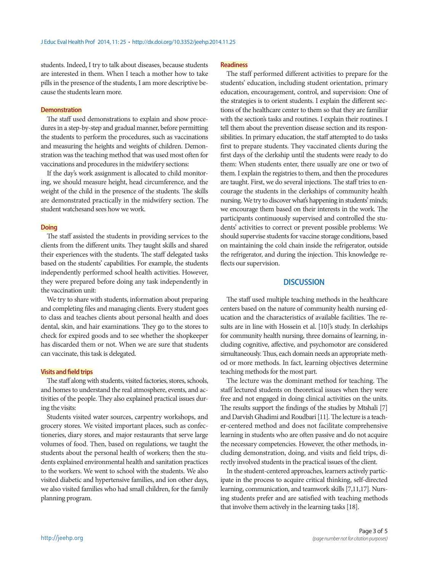students. Indeed, I try to talk about diseases, because students are interested in them. When I teach a mother how to take pills in the presence of the students, I am more descriptive because the students learn more.

### **Demonstration**

The staff used demonstrations to explain and show procedures in a step-by-step and gradual manner, before permitting the students to perform the procedures, such as vaccinations and measuring the heights and weights of children. Demonstration was the teaching method that was used most often for vaccinations and procedures in the midwifery sections:

If the day's work assignment is allocated to child monitoring, we should measure height, head circumference, and the weight of the child in the presence of the students. The skills are demonstrated practically in the midwifery section. The student watchesand sees how we work.

#### **Doing**

The staff assisted the students in providing services to the clients from the different units. They taught skills and shared their experiences with the students. The staff delegated tasks based on the students' capabilities. For example, the students independently performed school health activities. However, they were prepared before doing any task independently in the vaccination unit:

We try to share with students, information about preparing and completing files and managing clients. Every student goes to class and teaches clients about personal health and does dental, skin, and hair examinations. They go to the stores to check for expired goods and to see whether the shopkeeper has discarded them or not. When we are sure that students can vaccinate, this task is delegated.

#### **Visits and field trips**

The staff along with students, visited factories, stores, schools, and homes to understand the real atmosphere, events, and activities of the people. They also explained practical issues during the visits:

Students visited water sources, carpentry workshops, and grocery stores. We visited important places, such as confectioneries, diary stores, and major restaurants that serve large volumes of food. Then, based on regulations, we taught the students about the personal health of workers; then the students explained environmental health and sanitation practices to the workers. We went to school with the students. We also visited diabetic and hypertensive families, and ion other days, we also visited families who had small children, for the family planning program.

## **Readiness**

The staff performed different activities to prepare for the students' education, including student orientation, primary education, encouragement, control, and supervision: One of the strategies is to orient students. I explain the different sections of the healthcare center to them so that they are familiar with the section's tasks and routines. I explain their routines. I tell them about the prevention disease section and its responsibilities. In primary education, the staff attempted to do tasks first to prepare students. They vaccinated clients during the first days of the clerkship until the students were ready to do them: When students enter, there usually are one or two of them. I explain the registries to them, and then the procedures are taught. First, we do several injections. The staff tries to encourage the students in the clerkships of community health nursing. We try to discover what's happening in students' minds; we encourage them based on their interests in the work. The participants continuously supervised and controlled the students' activities to correct or prevent possible problems: We should supervise students for vaccine storage conditions, based on maintaining the cold chain inside the refrigerator, outside the refrigerator, and during the injection. This knowledge reflects our supervision.

### **DISCUSSION**

The staff used multiple teaching methods in the healthcare centers based on the nature of community health nursing education and the characteristics of available facilities. The results are in line with Hossein et al. [10]'s study. In clerkships for community health nursing, three domains of learning, including cognitive, affective, and psychomotor are considered simultaneously. Thus, each domain needs an appropriate method or more methods. In fact, learning objectives determine teaching methods for the most part.

The lecture was the dominant method for teaching. The staff lectured students on theoretical issues when they were free and not engaged in doing clinical activities on the units. The results support the findings of the studies by Mtshali [7] and Darvish Ghadimi and Roudbari [11]. The lecture is a teacher-centered method and does not facilitate comprehensive learning in students who are often passive and do not acquire the necessary competencies. However, the other methods, including demonstration, doing, and visits and field trips, directly involved students in the practical issues of the client.

In the student-centered approaches, learners actively participate in the process to acquire critical thinking, self-directed learning, communication, and teamwork skills [7,11,17]. Nursing students prefer and are satisfied with teaching methods that involve them actively in the learning tasks [18].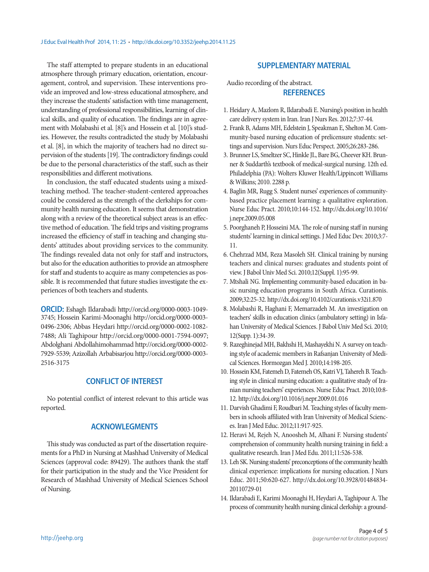The staff attempted to prepare students in an educational atmosphere through primary education, orientation, encouragement, control, and supervision. These interventions provide an improved and low-stress educational atmosphere, and they increase the students' satisfaction with time management, understanding of professional responsibilities, learning of clinical skills, and quality of education. The findings are in agreement with Molabashi et al. [8]'s and Hossein et al. [10]'s studies. However, the results contradicted the study by Molabashi et al. [8], in which the majority of teachers had no direct supervision of the students [19]. The contradictory findings could be due to the personal characteristics of the staff, such as their responsibilities and different motivations.

In conclusion, the staff educated students using a mixedteaching method. The teacher-student-centered approaches could be considered as the strength of the clerkships for community health nursing education. It seems that demonstration along with a review of the theoretical subject areas is an effective method of education. The field trips and visiting programs increased the efficiency of staff in teaching and changing students' attitudes about providing services to the community. The findings revealed data not only for staff and instructors, but also for the education authorities to provide an atmosphere for staff and students to acquire as many competencies as possible. It is recommended that future studies investigate the experiences of both teachers and students.

**ORCID:** Eshagh Ildarabadi http://orcid.org/0000-0003-1049- 3745; Hossein Karimi-Moonaghi http://orcid.org/0000-0003- 0496-2306; Abbas Heydari http://orcid.org/0000-0002-1082- 7488; Ali Taghipour http://orcid.org/0000-0001-7594-0097; Abdolghani Abdollahimohammad http://orcid.org/0000-0002- 7929-5539; Azizollah Arbabisarjou http://orcid.org/0000-0003- 2516-3175

# **CONFLICT OF INTEREST**

No potential conflict of interest relevant to this article was reported.

# **ACKNOWLEGMENTS**

This study was conducted as part of the dissertation requirements for a PhD in Nursing at Mashhad University of Medical Sciences (approval code: 89429). The authors thank the staff for their participation in the study and the Vice President for Research of Mashhad University of Medical Sciences School of Nursing.

## **SUPPLEMENTARY MATERIAL**

Audio recording of the abstract. **REFERENCES**

- 1. Heidary A, Mazlom R, Ildarabadi E. Nursing's position in health care delivery system in Iran. Iran J Nurs Res. 2012;7:37-44.
- 2. Frank B, Adams MH, Edelstein J, Speakman E, Shelton M. Community-based nursing education of prelicensure students: settings and supervision. Nurs Educ Perspect. 2005;26:283-286.
- 3. Brunner LS, Smeltzer SC, Hinkle JL, Bare BG, Cheever KH. Brunner & Suddarth's textbook of medical-surgical nursing. 12th ed. Philadelphia (PA): Wolters Kluwer Health/Lippincott Williams & Wilkins; 2010. 2288 p.
- 4. Baglin MR, Rugg S. Student nurses' experiences of communitybased practice placement learning: a qualitative exploration. Nurse Educ Pract. 2010;10:144-152. http://dx.doi.org/10.1016/ j.nepr.2009.05.008
- 5. Poorghaneh P, Hosseini MA. The role of nursing staff in nursing students' learning in clinical settings. J Med Educ Dev. 2010;3:7- 11.
- 6. Chehrzad MM, Reza Masoleh SH. Clinical training by nursing teachers and clinical nurses: graduates and students point of view. J Babol Univ Med Sci. 2010;12(Suppl. 1):95-99.
- 7. Mtshali NG. Implementing community-based education in basic nursing education programs in South Africa. Curationis. 2009;32:25-32. http://dx.doi.org/10.4102/curationis.v32i1.870
- 8. Molabashi R, Haghani F, Memarzadeh M. An investigation on teachers' skills in education clinics (ambulatory setting) in Isfahan University of Medical Sciences. J Babol Univ Med Sci. 2010; 12(Supp. 1):34-39.
- 9. Razeghinejad MH, Bakhshi H, Mashayekhi N. A survey on teaching style of academic members in Rafsanjan University of Medical Sciences. Hormozgan Med J. 2010;14:198-205.
- 10. Hossein KM, Fatemeh D, Fatemeh OS, Katri VJ, Tahereh B. Teaching style in clinical nursing education: a qualitative study of Iranian nursing teachers' experiences. Nurse Educ Pract. 2010;10:8- 12. http://dx.doi.org/10.1016/j.nepr.2009.01.016
- 11. Darvish Ghadimi F, Roudbari M. Teaching styles of faculty members in schools affiliated with Iran University of Medical Sciences. Iran J Med Educ. 2012;11:917-925.
- 12. Heravi M, Rejeh N, Anoosheh M, Alhani F. Nursing students' comprehension of community health nursing training in field: a qualitative research. Iran J Med Edu. 2011;11:526-538.
- 13. Leh SK. Nursing students' preconceptions of the community health clinical experience: implications for nursing education. J Nurs Educ. 2011;50:620-627. http://dx.doi.org/10.3928/01484834- 20110729-01
- 14. Ildarabadi E, Karimi Moonaghi H, Heydari A, Taghipour A. The process of community health nursing clinical clerkship: a ground-